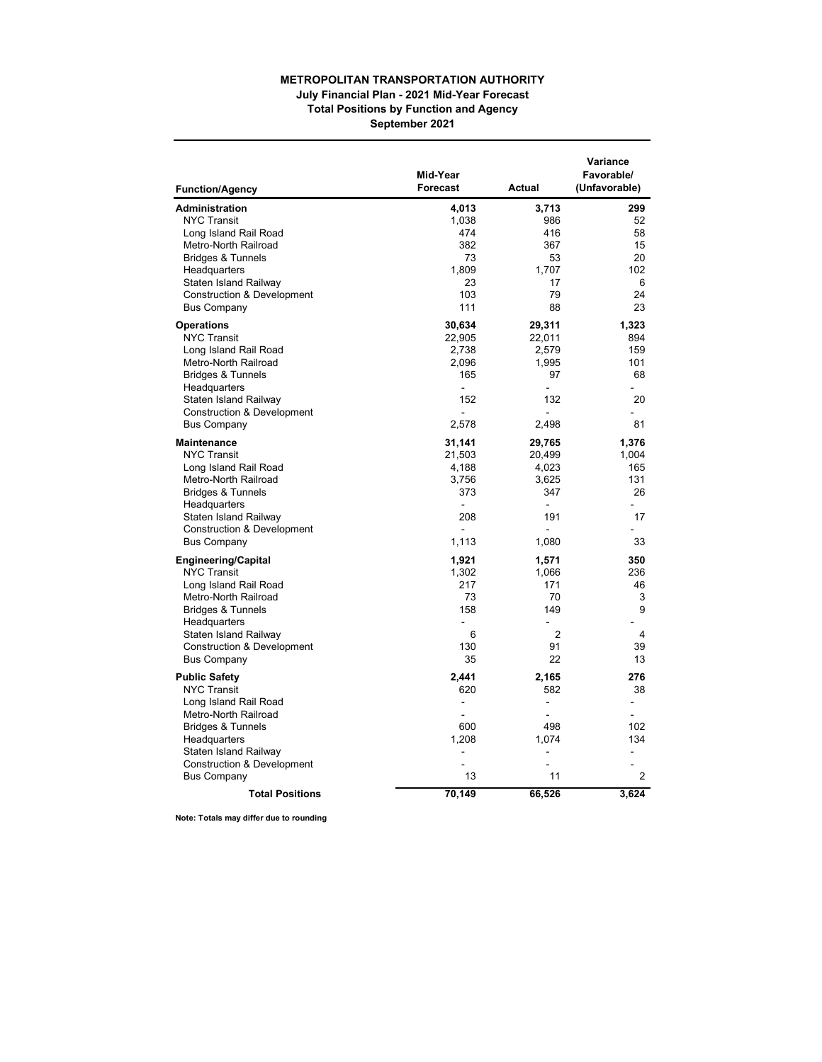## **METROPOLITAN TRANSPORTATION AUTHORITY July Financial Plan - 2021 Mid-Year Forecast Total Positions by Function and Agency**

**September 2021**

| <b>Function/Agency</b>                | Mid-Year<br><b>Forecast</b> | <b>Actual</b>            | Variance<br>Favorable/<br>(Unfavorable) |
|---------------------------------------|-----------------------------|--------------------------|-----------------------------------------|
| <b>Administration</b>                 | 4,013                       | 3,713                    | 299                                     |
| <b>NYC Transit</b>                    | 1,038                       | 986                      | 52                                      |
| Long Island Rail Road                 | 474                         | 416                      | 58                                      |
| Metro-North Railroad                  | 382                         | 367                      | 15                                      |
| <b>Bridges &amp; Tunnels</b>          | 73                          | 53                       | 20                                      |
| Headquarters                          | 1,809                       | 1,707                    | 102                                     |
| Staten Island Railway                 | 23                          | 17                       | 6                                       |
| <b>Construction &amp; Development</b> | 103                         | 79                       | 24                                      |
| <b>Bus Company</b>                    | 111                         | 88                       | 23                                      |
| <b>Operations</b>                     | 30,634                      | 29,311                   | 1,323                                   |
| <b>NYC Transit</b>                    | 22,905                      | 22,011                   | 894                                     |
| Long Island Rail Road                 | 2,738                       | 2,579                    | 159                                     |
| Metro-North Railroad                  | 2,096                       | 1,995                    | 101                                     |
| <b>Bridges &amp; Tunnels</b>          | 165                         | 97                       | 68                                      |
| Headquarters                          | $\blacksquare$              | ÷.                       |                                         |
| Staten Island Railway                 | 152                         | 132                      | 20                                      |
| <b>Construction &amp; Development</b> | ä,                          | $\overline{a}$           |                                         |
| <b>Bus Company</b>                    | 2,578                       | 2,498                    | 81                                      |
| Maintenance                           | 31,141                      | 29,765                   | 1,376                                   |
| <b>NYC Transit</b>                    | 21,503                      | 20,499                   | 1,004                                   |
| Long Island Rail Road                 | 4,188                       | 4,023                    | 165                                     |
| Metro-North Railroad                  | 3,756                       | 3,625                    | 131                                     |
| <b>Bridges &amp; Tunnels</b>          | 373                         | 347                      | 26                                      |
| Headquarters                          | $\overline{a}$              | $\blacksquare$           | $\overline{a}$                          |
| Staten Island Railway                 | 208                         | 191                      | 17                                      |
| <b>Construction &amp; Development</b> | $\blacksquare$              | $\blacksquare$           | ä,                                      |
| <b>Bus Company</b>                    | 1,113                       | 1,080                    | 33                                      |
| <b>Engineering/Capital</b>            | 1,921                       | 1,571                    | 350                                     |
| <b>NYC Transit</b>                    | 1.302                       | 1.066                    | 236                                     |
| Long Island Rail Road                 | 217                         | 171                      | 46                                      |
| Metro-North Railroad                  | 73                          | 70                       | 3                                       |
| <b>Bridges &amp; Tunnels</b>          | 158                         | 149                      | 9                                       |
| Headquarters                          | $\blacksquare$              | $\sim$<br>$\mathfrak{p}$ |                                         |
| Staten Island Railway                 | 6<br>130                    | 91                       | 4<br>39                                 |
| <b>Construction &amp; Development</b> | 35                          | 22                       | 13                                      |
| <b>Bus Company</b>                    |                             |                          |                                         |
| <b>Public Safety</b>                  | 2,441                       | 2,165                    | 276                                     |
| <b>NYC Transit</b>                    | 620                         | 582                      | 38                                      |
| Long Island Rail Road                 | $\blacksquare$              | $\blacksquare$           | $\blacksquare$                          |
| Metro-North Railroad                  |                             |                          |                                         |
| <b>Bridges &amp; Tunnels</b>          | 600                         | 498                      | 102                                     |
| Headquarters                          | 1,208                       | 1,074                    | 134                                     |
| Staten Island Railway                 | $\overline{a}$              | $\overline{a}$           | L.                                      |
| <b>Construction &amp; Development</b> | ä,                          | ä,                       |                                         |
| <b>Bus Company</b>                    | 13                          | 11                       | 2                                       |
| <b>Total Positions</b>                | 70,149                      | 66,526                   | 3,624                                   |

**Note: Totals may differ due to rounding**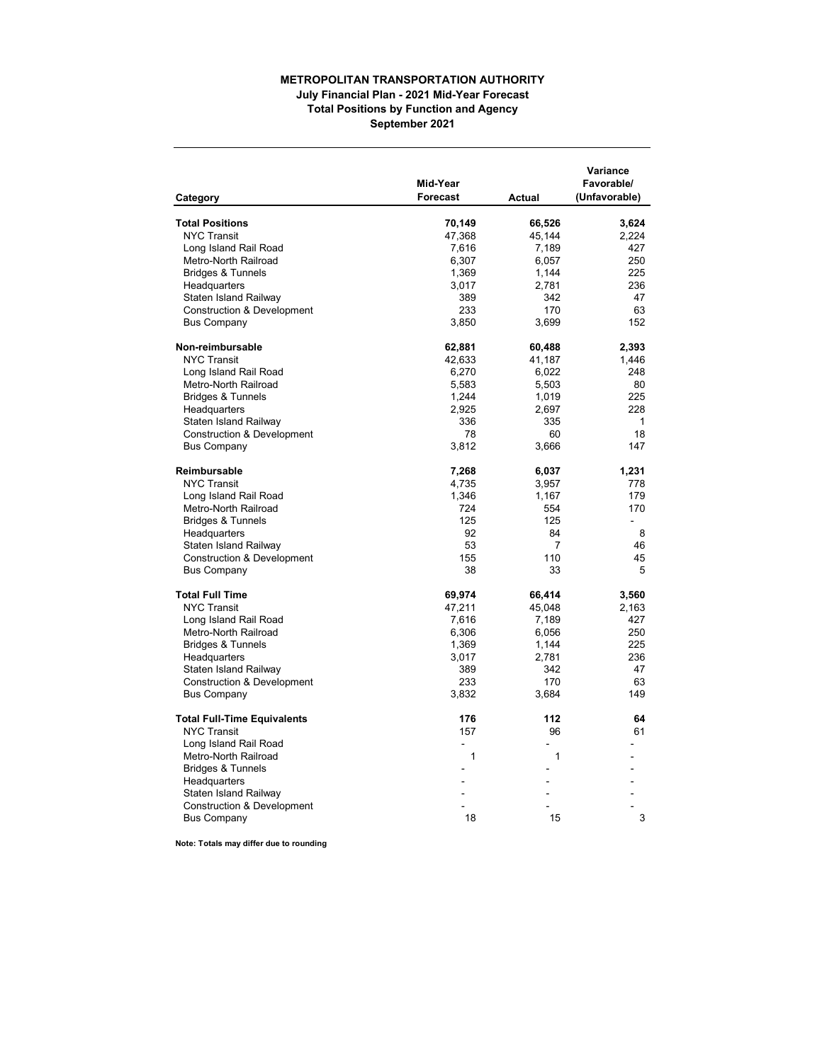## **METROPOLITAN TRANSPORTATION AUTHORITY July Financial Plan - 2021 Mid-Year Forecast Total Positions by Function and Agency September 2021**

| <b>Total Positions</b><br>70,149<br>66,526<br>3,624<br><b>NYC Transit</b><br>47,368<br>45,144<br>2,224<br>Long Island Rail Road<br>7,616<br>7,189<br>427<br>Metro-North Railroad<br>6,307<br>250<br>6,057<br><b>Bridges &amp; Tunnels</b><br>225<br>1,369<br>1,144<br>236<br>Headquarters<br>3,017<br>2,781<br>Staten Island Railway<br>342<br>47<br>389<br>233<br>170<br>Construction & Development<br>63<br>152<br><b>Bus Company</b><br>3,850<br>3,699<br>Non-reimbursable<br>62,881<br>2,393<br>60,488<br><b>NYC Transit</b><br>42,633<br>41,187<br>1,446<br>Long Island Rail Road<br>6,270<br>248<br>6,022<br>Metro-North Railroad<br>5,583<br>5,503<br>80<br>225<br><b>Bridges &amp; Tunnels</b><br>1,244<br>1,019<br>Headquarters<br>2,925<br>2,697<br>228<br>Staten Island Railway<br>336<br>335<br>1<br>78<br>18<br><b>Construction &amp; Development</b><br>60<br>147<br><b>Bus Company</b><br>3,812<br>3,666<br>Reimbursable<br>7,268<br>6,037<br>1,231<br><b>NYC Transit</b><br>4,735<br>778<br>3,957<br>Long Island Rail Road<br>1,346<br>179<br>1,167<br>Metro-North Railroad<br>724<br>554<br>170<br>125<br>125<br><b>Bridges &amp; Tunnels</b><br>$\overline{a}$<br>Headquarters<br>92<br>84<br>8<br>53<br>7<br>46<br>Staten Island Railway<br>155<br>110<br>45<br><b>Construction &amp; Development</b><br><b>Bus Company</b><br>38<br>33<br>5<br><b>Total Full Time</b><br>69,974<br>66,414<br>3,560<br><b>NYC Transit</b><br>47,211<br>45,048<br>2,163<br>Long Island Rail Road<br>7,616<br>7,189<br>427<br>250<br>Metro-North Railroad<br>6,306<br>6,056<br><b>Bridges &amp; Tunnels</b><br>1,369<br>1,144<br>225<br>236<br>Headquarters<br>3,017<br>2,781<br>Staten Island Railway<br>389<br>342<br>47<br><b>Construction &amp; Development</b><br>233<br>170<br>63<br>149<br><b>Bus Company</b><br>3,832<br>3,684<br>176<br>112<br><b>Total Full-Time Equivalents</b><br>64<br><b>NYC Transit</b><br>157<br>96<br>61<br>Long Island Rail Road<br>Metro-North Railroad<br>1<br>1<br><b>Bridges &amp; Tunnels</b><br>Headquarters<br>Staten Island Railway<br><b>Construction &amp; Development</b><br>18<br>15<br>3<br><b>Bus Company</b> | Category | Mid-Year<br><b>Forecast</b> | <b>Actual</b> | Variance<br>Favorable/<br>(Unfavorable) |
|----------------------------------------------------------------------------------------------------------------------------------------------------------------------------------------------------------------------------------------------------------------------------------------------------------------------------------------------------------------------------------------------------------------------------------------------------------------------------------------------------------------------------------------------------------------------------------------------------------------------------------------------------------------------------------------------------------------------------------------------------------------------------------------------------------------------------------------------------------------------------------------------------------------------------------------------------------------------------------------------------------------------------------------------------------------------------------------------------------------------------------------------------------------------------------------------------------------------------------------------------------------------------------------------------------------------------------------------------------------------------------------------------------------------------------------------------------------------------------------------------------------------------------------------------------------------------------------------------------------------------------------------------------------------------------------------------------------------------------------------------------------------------------------------------------------------------------------------------------------------------------------------------------------------------------------------------------------------------------------------------------------------------------------------------------------------------------------------------------------------------------------------------------------|----------|-----------------------------|---------------|-----------------------------------------|
|                                                                                                                                                                                                                                                                                                                                                                                                                                                                                                                                                                                                                                                                                                                                                                                                                                                                                                                                                                                                                                                                                                                                                                                                                                                                                                                                                                                                                                                                                                                                                                                                                                                                                                                                                                                                                                                                                                                                                                                                                                                                                                                                                                |          |                             |               |                                         |
|                                                                                                                                                                                                                                                                                                                                                                                                                                                                                                                                                                                                                                                                                                                                                                                                                                                                                                                                                                                                                                                                                                                                                                                                                                                                                                                                                                                                                                                                                                                                                                                                                                                                                                                                                                                                                                                                                                                                                                                                                                                                                                                                                                |          |                             |               |                                         |
|                                                                                                                                                                                                                                                                                                                                                                                                                                                                                                                                                                                                                                                                                                                                                                                                                                                                                                                                                                                                                                                                                                                                                                                                                                                                                                                                                                                                                                                                                                                                                                                                                                                                                                                                                                                                                                                                                                                                                                                                                                                                                                                                                                |          |                             |               |                                         |
|                                                                                                                                                                                                                                                                                                                                                                                                                                                                                                                                                                                                                                                                                                                                                                                                                                                                                                                                                                                                                                                                                                                                                                                                                                                                                                                                                                                                                                                                                                                                                                                                                                                                                                                                                                                                                                                                                                                                                                                                                                                                                                                                                                |          |                             |               |                                         |
|                                                                                                                                                                                                                                                                                                                                                                                                                                                                                                                                                                                                                                                                                                                                                                                                                                                                                                                                                                                                                                                                                                                                                                                                                                                                                                                                                                                                                                                                                                                                                                                                                                                                                                                                                                                                                                                                                                                                                                                                                                                                                                                                                                |          |                             |               |                                         |
|                                                                                                                                                                                                                                                                                                                                                                                                                                                                                                                                                                                                                                                                                                                                                                                                                                                                                                                                                                                                                                                                                                                                                                                                                                                                                                                                                                                                                                                                                                                                                                                                                                                                                                                                                                                                                                                                                                                                                                                                                                                                                                                                                                |          |                             |               |                                         |
|                                                                                                                                                                                                                                                                                                                                                                                                                                                                                                                                                                                                                                                                                                                                                                                                                                                                                                                                                                                                                                                                                                                                                                                                                                                                                                                                                                                                                                                                                                                                                                                                                                                                                                                                                                                                                                                                                                                                                                                                                                                                                                                                                                |          |                             |               |                                         |
|                                                                                                                                                                                                                                                                                                                                                                                                                                                                                                                                                                                                                                                                                                                                                                                                                                                                                                                                                                                                                                                                                                                                                                                                                                                                                                                                                                                                                                                                                                                                                                                                                                                                                                                                                                                                                                                                                                                                                                                                                                                                                                                                                                |          |                             |               |                                         |
|                                                                                                                                                                                                                                                                                                                                                                                                                                                                                                                                                                                                                                                                                                                                                                                                                                                                                                                                                                                                                                                                                                                                                                                                                                                                                                                                                                                                                                                                                                                                                                                                                                                                                                                                                                                                                                                                                                                                                                                                                                                                                                                                                                |          |                             |               |                                         |
|                                                                                                                                                                                                                                                                                                                                                                                                                                                                                                                                                                                                                                                                                                                                                                                                                                                                                                                                                                                                                                                                                                                                                                                                                                                                                                                                                                                                                                                                                                                                                                                                                                                                                                                                                                                                                                                                                                                                                                                                                                                                                                                                                                |          |                             |               |                                         |
|                                                                                                                                                                                                                                                                                                                                                                                                                                                                                                                                                                                                                                                                                                                                                                                                                                                                                                                                                                                                                                                                                                                                                                                                                                                                                                                                                                                                                                                                                                                                                                                                                                                                                                                                                                                                                                                                                                                                                                                                                                                                                                                                                                |          |                             |               |                                         |
|                                                                                                                                                                                                                                                                                                                                                                                                                                                                                                                                                                                                                                                                                                                                                                                                                                                                                                                                                                                                                                                                                                                                                                                                                                                                                                                                                                                                                                                                                                                                                                                                                                                                                                                                                                                                                                                                                                                                                                                                                                                                                                                                                                |          |                             |               |                                         |
|                                                                                                                                                                                                                                                                                                                                                                                                                                                                                                                                                                                                                                                                                                                                                                                                                                                                                                                                                                                                                                                                                                                                                                                                                                                                                                                                                                                                                                                                                                                                                                                                                                                                                                                                                                                                                                                                                                                                                                                                                                                                                                                                                                |          |                             |               |                                         |
|                                                                                                                                                                                                                                                                                                                                                                                                                                                                                                                                                                                                                                                                                                                                                                                                                                                                                                                                                                                                                                                                                                                                                                                                                                                                                                                                                                                                                                                                                                                                                                                                                                                                                                                                                                                                                                                                                                                                                                                                                                                                                                                                                                |          |                             |               |                                         |
|                                                                                                                                                                                                                                                                                                                                                                                                                                                                                                                                                                                                                                                                                                                                                                                                                                                                                                                                                                                                                                                                                                                                                                                                                                                                                                                                                                                                                                                                                                                                                                                                                                                                                                                                                                                                                                                                                                                                                                                                                                                                                                                                                                |          |                             |               |                                         |
|                                                                                                                                                                                                                                                                                                                                                                                                                                                                                                                                                                                                                                                                                                                                                                                                                                                                                                                                                                                                                                                                                                                                                                                                                                                                                                                                                                                                                                                                                                                                                                                                                                                                                                                                                                                                                                                                                                                                                                                                                                                                                                                                                                |          |                             |               |                                         |
|                                                                                                                                                                                                                                                                                                                                                                                                                                                                                                                                                                                                                                                                                                                                                                                                                                                                                                                                                                                                                                                                                                                                                                                                                                                                                                                                                                                                                                                                                                                                                                                                                                                                                                                                                                                                                                                                                                                                                                                                                                                                                                                                                                |          |                             |               |                                         |
|                                                                                                                                                                                                                                                                                                                                                                                                                                                                                                                                                                                                                                                                                                                                                                                                                                                                                                                                                                                                                                                                                                                                                                                                                                                                                                                                                                                                                                                                                                                                                                                                                                                                                                                                                                                                                                                                                                                                                                                                                                                                                                                                                                |          |                             |               |                                         |
|                                                                                                                                                                                                                                                                                                                                                                                                                                                                                                                                                                                                                                                                                                                                                                                                                                                                                                                                                                                                                                                                                                                                                                                                                                                                                                                                                                                                                                                                                                                                                                                                                                                                                                                                                                                                                                                                                                                                                                                                                                                                                                                                                                |          |                             |               |                                         |
|                                                                                                                                                                                                                                                                                                                                                                                                                                                                                                                                                                                                                                                                                                                                                                                                                                                                                                                                                                                                                                                                                                                                                                                                                                                                                                                                                                                                                                                                                                                                                                                                                                                                                                                                                                                                                                                                                                                                                                                                                                                                                                                                                                |          |                             |               |                                         |
|                                                                                                                                                                                                                                                                                                                                                                                                                                                                                                                                                                                                                                                                                                                                                                                                                                                                                                                                                                                                                                                                                                                                                                                                                                                                                                                                                                                                                                                                                                                                                                                                                                                                                                                                                                                                                                                                                                                                                                                                                                                                                                                                                                |          |                             |               |                                         |
|                                                                                                                                                                                                                                                                                                                                                                                                                                                                                                                                                                                                                                                                                                                                                                                                                                                                                                                                                                                                                                                                                                                                                                                                                                                                                                                                                                                                                                                                                                                                                                                                                                                                                                                                                                                                                                                                                                                                                                                                                                                                                                                                                                |          |                             |               |                                         |
|                                                                                                                                                                                                                                                                                                                                                                                                                                                                                                                                                                                                                                                                                                                                                                                                                                                                                                                                                                                                                                                                                                                                                                                                                                                                                                                                                                                                                                                                                                                                                                                                                                                                                                                                                                                                                                                                                                                                                                                                                                                                                                                                                                |          |                             |               |                                         |
|                                                                                                                                                                                                                                                                                                                                                                                                                                                                                                                                                                                                                                                                                                                                                                                                                                                                                                                                                                                                                                                                                                                                                                                                                                                                                                                                                                                                                                                                                                                                                                                                                                                                                                                                                                                                                                                                                                                                                                                                                                                                                                                                                                |          |                             |               |                                         |
|                                                                                                                                                                                                                                                                                                                                                                                                                                                                                                                                                                                                                                                                                                                                                                                                                                                                                                                                                                                                                                                                                                                                                                                                                                                                                                                                                                                                                                                                                                                                                                                                                                                                                                                                                                                                                                                                                                                                                                                                                                                                                                                                                                |          |                             |               |                                         |
|                                                                                                                                                                                                                                                                                                                                                                                                                                                                                                                                                                                                                                                                                                                                                                                                                                                                                                                                                                                                                                                                                                                                                                                                                                                                                                                                                                                                                                                                                                                                                                                                                                                                                                                                                                                                                                                                                                                                                                                                                                                                                                                                                                |          |                             |               |                                         |
|                                                                                                                                                                                                                                                                                                                                                                                                                                                                                                                                                                                                                                                                                                                                                                                                                                                                                                                                                                                                                                                                                                                                                                                                                                                                                                                                                                                                                                                                                                                                                                                                                                                                                                                                                                                                                                                                                                                                                                                                                                                                                                                                                                |          |                             |               |                                         |
|                                                                                                                                                                                                                                                                                                                                                                                                                                                                                                                                                                                                                                                                                                                                                                                                                                                                                                                                                                                                                                                                                                                                                                                                                                                                                                                                                                                                                                                                                                                                                                                                                                                                                                                                                                                                                                                                                                                                                                                                                                                                                                                                                                |          |                             |               |                                         |
|                                                                                                                                                                                                                                                                                                                                                                                                                                                                                                                                                                                                                                                                                                                                                                                                                                                                                                                                                                                                                                                                                                                                                                                                                                                                                                                                                                                                                                                                                                                                                                                                                                                                                                                                                                                                                                                                                                                                                                                                                                                                                                                                                                |          |                             |               |                                         |
|                                                                                                                                                                                                                                                                                                                                                                                                                                                                                                                                                                                                                                                                                                                                                                                                                                                                                                                                                                                                                                                                                                                                                                                                                                                                                                                                                                                                                                                                                                                                                                                                                                                                                                                                                                                                                                                                                                                                                                                                                                                                                                                                                                |          |                             |               |                                         |
|                                                                                                                                                                                                                                                                                                                                                                                                                                                                                                                                                                                                                                                                                                                                                                                                                                                                                                                                                                                                                                                                                                                                                                                                                                                                                                                                                                                                                                                                                                                                                                                                                                                                                                                                                                                                                                                                                                                                                                                                                                                                                                                                                                |          |                             |               |                                         |
|                                                                                                                                                                                                                                                                                                                                                                                                                                                                                                                                                                                                                                                                                                                                                                                                                                                                                                                                                                                                                                                                                                                                                                                                                                                                                                                                                                                                                                                                                                                                                                                                                                                                                                                                                                                                                                                                                                                                                                                                                                                                                                                                                                |          |                             |               |                                         |
|                                                                                                                                                                                                                                                                                                                                                                                                                                                                                                                                                                                                                                                                                                                                                                                                                                                                                                                                                                                                                                                                                                                                                                                                                                                                                                                                                                                                                                                                                                                                                                                                                                                                                                                                                                                                                                                                                                                                                                                                                                                                                                                                                                |          |                             |               |                                         |
|                                                                                                                                                                                                                                                                                                                                                                                                                                                                                                                                                                                                                                                                                                                                                                                                                                                                                                                                                                                                                                                                                                                                                                                                                                                                                                                                                                                                                                                                                                                                                                                                                                                                                                                                                                                                                                                                                                                                                                                                                                                                                                                                                                |          |                             |               |                                         |
|                                                                                                                                                                                                                                                                                                                                                                                                                                                                                                                                                                                                                                                                                                                                                                                                                                                                                                                                                                                                                                                                                                                                                                                                                                                                                                                                                                                                                                                                                                                                                                                                                                                                                                                                                                                                                                                                                                                                                                                                                                                                                                                                                                |          |                             |               |                                         |
|                                                                                                                                                                                                                                                                                                                                                                                                                                                                                                                                                                                                                                                                                                                                                                                                                                                                                                                                                                                                                                                                                                                                                                                                                                                                                                                                                                                                                                                                                                                                                                                                                                                                                                                                                                                                                                                                                                                                                                                                                                                                                                                                                                |          |                             |               |                                         |
|                                                                                                                                                                                                                                                                                                                                                                                                                                                                                                                                                                                                                                                                                                                                                                                                                                                                                                                                                                                                                                                                                                                                                                                                                                                                                                                                                                                                                                                                                                                                                                                                                                                                                                                                                                                                                                                                                                                                                                                                                                                                                                                                                                |          |                             |               |                                         |
|                                                                                                                                                                                                                                                                                                                                                                                                                                                                                                                                                                                                                                                                                                                                                                                                                                                                                                                                                                                                                                                                                                                                                                                                                                                                                                                                                                                                                                                                                                                                                                                                                                                                                                                                                                                                                                                                                                                                                                                                                                                                                                                                                                |          |                             |               |                                         |
|                                                                                                                                                                                                                                                                                                                                                                                                                                                                                                                                                                                                                                                                                                                                                                                                                                                                                                                                                                                                                                                                                                                                                                                                                                                                                                                                                                                                                                                                                                                                                                                                                                                                                                                                                                                                                                                                                                                                                                                                                                                                                                                                                                |          |                             |               |                                         |
|                                                                                                                                                                                                                                                                                                                                                                                                                                                                                                                                                                                                                                                                                                                                                                                                                                                                                                                                                                                                                                                                                                                                                                                                                                                                                                                                                                                                                                                                                                                                                                                                                                                                                                                                                                                                                                                                                                                                                                                                                                                                                                                                                                |          |                             |               |                                         |
|                                                                                                                                                                                                                                                                                                                                                                                                                                                                                                                                                                                                                                                                                                                                                                                                                                                                                                                                                                                                                                                                                                                                                                                                                                                                                                                                                                                                                                                                                                                                                                                                                                                                                                                                                                                                                                                                                                                                                                                                                                                                                                                                                                |          |                             |               |                                         |
|                                                                                                                                                                                                                                                                                                                                                                                                                                                                                                                                                                                                                                                                                                                                                                                                                                                                                                                                                                                                                                                                                                                                                                                                                                                                                                                                                                                                                                                                                                                                                                                                                                                                                                                                                                                                                                                                                                                                                                                                                                                                                                                                                                |          |                             |               |                                         |
|                                                                                                                                                                                                                                                                                                                                                                                                                                                                                                                                                                                                                                                                                                                                                                                                                                                                                                                                                                                                                                                                                                                                                                                                                                                                                                                                                                                                                                                                                                                                                                                                                                                                                                                                                                                                                                                                                                                                                                                                                                                                                                                                                                |          |                             |               |                                         |
|                                                                                                                                                                                                                                                                                                                                                                                                                                                                                                                                                                                                                                                                                                                                                                                                                                                                                                                                                                                                                                                                                                                                                                                                                                                                                                                                                                                                                                                                                                                                                                                                                                                                                                                                                                                                                                                                                                                                                                                                                                                                                                                                                                |          |                             |               |                                         |
|                                                                                                                                                                                                                                                                                                                                                                                                                                                                                                                                                                                                                                                                                                                                                                                                                                                                                                                                                                                                                                                                                                                                                                                                                                                                                                                                                                                                                                                                                                                                                                                                                                                                                                                                                                                                                                                                                                                                                                                                                                                                                                                                                                |          |                             |               |                                         |
|                                                                                                                                                                                                                                                                                                                                                                                                                                                                                                                                                                                                                                                                                                                                                                                                                                                                                                                                                                                                                                                                                                                                                                                                                                                                                                                                                                                                                                                                                                                                                                                                                                                                                                                                                                                                                                                                                                                                                                                                                                                                                                                                                                |          |                             |               |                                         |

**Note: Totals may differ due to rounding**